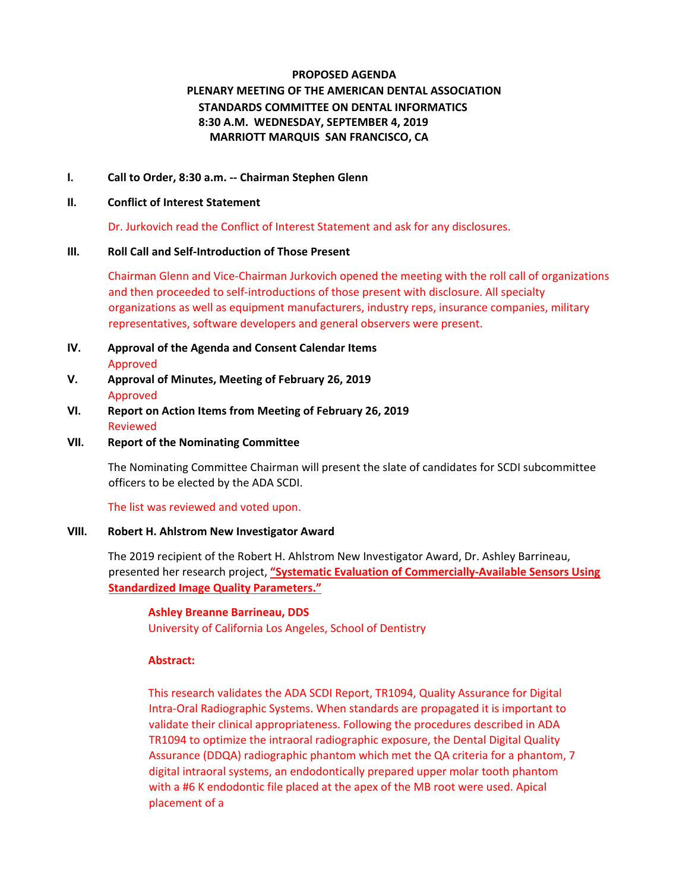# **PROPOSED AGENDA PLENARY MEETING OF THE AMERICAN DENTAL ASSOCIATION STANDARDS COMMITTEE ON DENTAL INFORMATICS 8:30 A.M. WEDNESDAY, SEPTEMBER 4, 2019 MARRIOTT MARQUIS SAN FRANCISCO, CA**

### **I. Call to Order, 8:30 a.m. -- Chairman Stephen Glenn**

#### **II. Conflict of Interest Statement**

Dr. Jurkovich read the Conflict of Interest Statement and ask for any disclosures.

#### **III. Roll Call and Self-Introduction of Those Present**

Chairman Glenn and Vice-Chairman Jurkovich opened the meeting with the roll call of organizations and then proceeded to self-introductions of those present with disclosure. All specialty organizations as well as equipment manufacturers, industry reps, insurance companies, military representatives, software developers and general observers were present.

- **IV. Approval of the Agenda and Consent Calendar Items**  Approved
- **V. Approval of Minutes, Meeting of February 26, 2019**  Approved
- **VI. Report on Action Items from Meeting of February 26, 2019**  Reviewed
- **VII. Report of the Nominating Committee**

The Nominating Committee Chairman will present the slate of candidates for SCDI subcommittee officers to be elected by the ADA SCDI.

The list was reviewed and voted upon.

### **VIII. Robert H. Ahlstrom New Investigator Award**

The 2019 recipient of the Robert H. Ahlstrom New Investigator Award, Dr. Ashley Barrineau, presented her research project, **"Systematic Evaluation of Commercially-Available Sensors Using Standardized Image Quality Parameters."** 

# **Ashley Breanne Barrineau, DDS**

University of California Los Angeles, School of Dentistry

### **Abstract:**

This research validates the ADA SCDI Report, TR1094, Quality Assurance for Digital Intra-Oral Radiographic Systems. When standards are propagated it is important to validate their clinical appropriateness. Following the procedures described in ADA TR1094 to optimize the intraoral radiographic exposure, the Dental Digital Quality Assurance (DDQA) radiographic phantom which met the QA criteria for a phantom, 7 digital intraoral systems, an endodontically prepared upper molar tooth phantom with a #6 K endodontic file placed at the apex of the MB root were used. Apical placement of a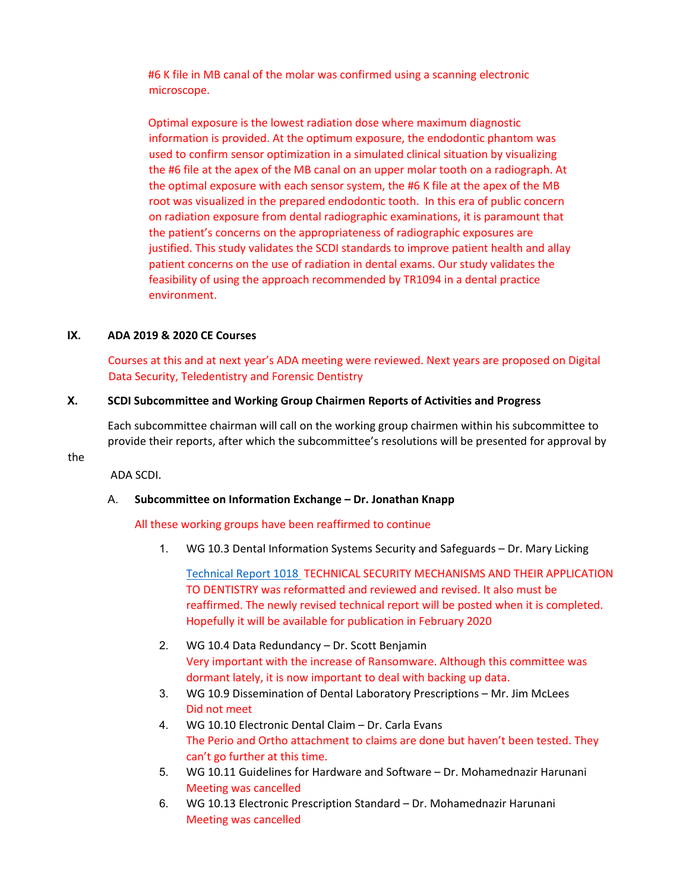#6 K file in MB canal of the molar was confirmed using a scanning electronic microscope.

Optimal exposure is the lowest radiation dose where maximum diagnostic information is provided. At the optimum exposure, the endodontic phantom was used to confirm sensor optimization in a simulated clinical situation by visualizing the #6 file at the apex of the MB canal on an upper molar tooth on a radiograph. At the optimal exposure with each sensor system, the #6 K file at the apex of the MB root was visualized in the prepared endodontic tooth. In this era of public concern on radiation exposure from dental radiographic examinations, it is paramount that the patient's concerns on the appropriateness of radiographic exposures are justified. This study validates the SCDI standards to improve patient health and allay patient concerns on the use of radiation in dental exams. Our study validates the feasibility of using the approach recommended by TR1094 in a dental practice environment.

#### **IX. ADA 2019 & 2020 CE Courses**

Courses at this and at next year's ADA meeting were reviewed. Next years are proposed on Digital Data Security, Teledentistry and Forensic Dentistry

#### **X. SCDI Subcommittee and Working Group Chairmen Reports of Activities and Progress**

Each subcommittee chairman will call on the working group chairmen within his subcommittee to provide their reports, after which the subcommittee's resolutions will be presented for approval by

the

ADA SCDI.

### A. **Subcommittee on Information Exchange – Dr. Jonathan Knapp**

#### All these working groups have been reaffirmed to continue

1. WG 10.3 Dental Information Systems Security and Safeguards – Dr. Mary Licking

[Technical Report 1018](https://d.docs.live.net/c18a09f84e087e04/ADA/SCDI%202019%20SF/ADA%20Technical%20Report%20No.%201018.pdf) TECHNICAL SECURITY MECHANISMS AND THEIR APPLICATION TO DENTISTRY was reformatted and reviewed and revised. It also must be reaffirmed. The newly revised technical report will be posted when it is completed. Hopefully it will be available for publication in February 2020

- 2. WG 10.4 Data Redundancy Dr. Scott Benjamin Very important with the increase of Ransomware. Although this committee was dormant lately, it is now important to deal with backing up data.
- 3. WG 10.9 Dissemination of Dental Laboratory Prescriptions Mr. Jim McLees Did not meet
- 4. WG 10.10 Electronic Dental Claim Dr. Carla Evans The Perio and Ortho attachment to claims are done but haven't been tested. They can't go further at this time.
- 5. WG 10.11 Guidelines for Hardware and Software Dr. Mohamednazir Harunani Meeting was cancelled
- 6. WG 10.13 Electronic Prescription Standard Dr. Mohamednazir Harunani Meeting was cancelled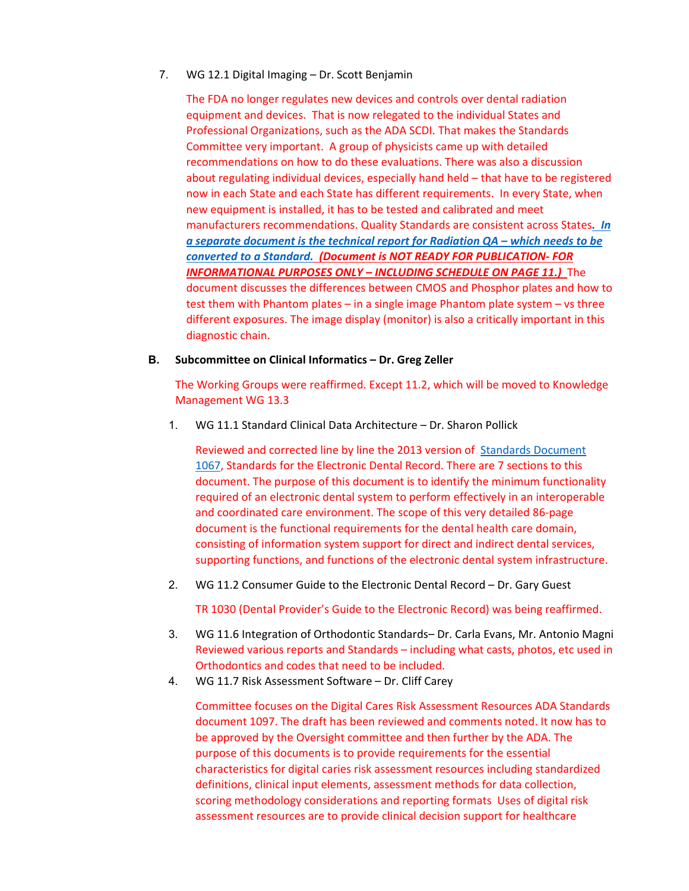7. WG 12.1 Digital Imaging – Dr. Scott Benjamin

The FDA no longer regulates new devices and controls over dental radiation equipment and devices. That is now relegated to the individual States and Professional Organizations, such as the ADA SCDI. That makes the Standards Committee very important. A group of physicists came up with detailed recommendations on how to do these evaluations. There was also a discussion about regulating individual devices, especially hand held – that have to be registered now in each State and each State has different requirements. In every State, when new equipment is installed, it has to be tested and calibrated and meet manufacturers recommendations. Quality Standards are consistent across States*[. In](https://d.docs.live.net/c18a09f84e087e04/ADA/SCDI%202019%20SF/Proposed%20ADA%20Standard%20No.%201094_AIP_April%202019%20on%20Quality%20Assurance%20for%20Radiology.pdf)  [a separate document is the technical report for Radiation QA –](https://d.docs.live.net/c18a09f84e087e04/ADA/SCDI%202019%20SF/Proposed%20ADA%20Standard%20No.%201094_AIP_April%202019%20on%20Quality%20Assurance%20for%20Radiology.pdf) which needs to be converted [to a Standard.](https://d.docs.live.net/c18a09f84e087e04/ADA/SCDI%202019%20SF/Proposed%20ADA%20Standard%20No.%201094_AIP_April%202019%20on%20Quality%20Assurance%20for%20Radiology.pdf) (Document is NOT READY FOR PUBLICATION- FOR INFORMATIONAL PURPOSES ONLY – INCLUDING SCHEDULE ON PAGE 11.)* The document discusses the differences between CMOS and Phosphor plates and how to test them with Phantom plates – in a single image Phantom plate system – vs three different exposures. The image display (monitor) is also a critically important in this diagnostic chain.

#### **B. Subcommittee on Clinical Informatics – Dr. Greg Zeller**

The Working Groups were reaffirmed. Except 11.2, which will be moved to Knowledge Management WG 13.3

1. WG 11.1 Standard Clinical Data Architecture – Dr. Sharon Pollick

Reviewed and corrected line by line the 2013 version of Standards [Document](https://d.docs.live.net/c18a09f84e087e04/ADA/SCDI%202019%20SF/ADA%20Standard%20No.%201067.pdf)  [1067,](https://d.docs.live.net/c18a09f84e087e04/ADA/SCDI%202019%20SF/ADA%20Standard%20No.%201067.pdf) Standards for the Electronic Dental Record. There are 7 sections to this document. The purpose of this document is to identify the minimum functionality required of an electronic dental system to perform effectively in an interoperable and coordinated care environment. The scope of this very detailed 86-page document is the functional requirements for the dental health care domain, consisting of information system support for direct and indirect dental services, supporting functions, and functions of the electronic dental system infrastructure.

2. WG 11.2 Consumer Guide to the Electronic Dental Record – Dr. Gary Guest

TR 1030 (Dental Provider's Guide to the Electronic Record) was being reaffirmed.

- 3. WG 11.6 Integration of Orthodontic Standards– Dr. Carla Evans, Mr. Antonio Magni Reviewed various reports and Standards – including what casts, photos, etc used in Orthodontics and codes that need to be included.
- 4. WG 11.7 Risk Assessment Software Dr. Cliff Carey

Committee focuses on the Digital Cares Risk Assessment Resources ADA Standards document 1097. The draft has been reviewed and comments noted. It now has to be approved by the Oversight committee and then further by the ADA. The purpose of this documents is to provide requirements for the essential characteristics for digital caries risk assessment resources including standardized definitions, clinical input elements, assessment methods for data collection, scoring methodology considerations and reporting formats Uses of digital risk assessment resources are to provide clinical decision support for healthcare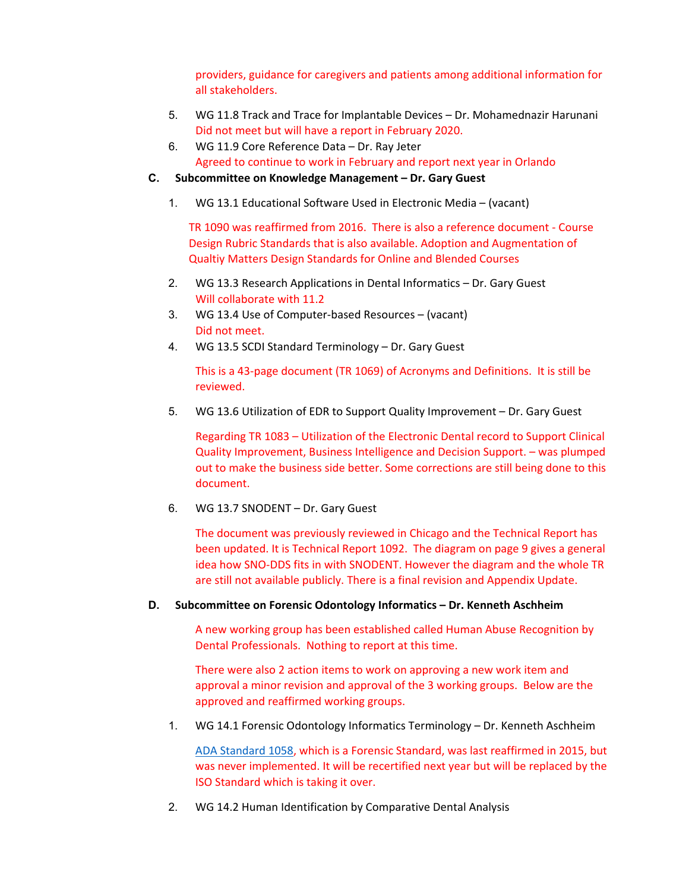providers, guidance for caregivers and patients among additional information for all stakeholders.

- 5. WG 11.8 Track and Trace for Implantable Devices Dr. Mohamednazir Harunani Did not meet but will have a report in February 2020.
- 6. WG 11.9 Core Reference Data Dr. Ray Jeter Agreed to continue to work in February and report next year in Orlando
- **C. Subcommittee on Knowledge Management – Dr. Gary Guest** 
	- 1. WG 13.1 Educational Software Used in Electronic Media (vacant)

TR 1090 was reaffirmed from 2016. There is also a reference document - Course Design Rubric Standards that is also available. Adoption and Augmentation of Qualtiy Matters Design Standards for Online and Blended Courses

- 2. WG 13.3 Research Applications in Dental Informatics Dr. Gary Guest Will collaborate with 11.2
- 3. WG 13.4 Use of Computer-based Resources (vacant) Did not meet.
- 4. WG 13.5 SCDI Standard Terminology Dr. Gary Guest

This is a 43-page document (TR 1069) of Acronyms and Definitions. It is still be reviewed.

5. WG 13.6 Utilization of EDR to Support Quality Improvement – Dr. Gary Guest

Regarding TR 1083 – Utilization of the Electronic Dental record to Support Clinical Quality Improvement, Business Intelligence and Decision Support. – was plumped out to make the business side better. Some corrections are still being done to this document.

6. WG 13.7 SNODENT – Dr. Gary Guest

The document was previously reviewed in Chicago and the Technical Report has been updated. It is Technical Report 1092. The diagram on page 9 gives a general idea how SNO-DDS fits in with SNODENT. However the diagram and the whole TR are still not available publicly. There is a final revision and Appendix Update.

#### **D. Subcommittee on Forensic Odontology Informatics – Dr. Kenneth Aschheim**

A new working group has been established called Human Abuse Recognition by Dental Professionals. Nothing to report at this time.

There were also 2 action items to work on approving a new work item and approval a minor revision and approval of the 3 working groups. Below are the approved and reaffirmed working groups.

1. WG 14.1 Forensic Odontology Informatics Terminology – Dr. Kenneth Aschheim

[ADA Standard 1058,](https://d.docs.live.net/c18a09f84e087e04/ADA/SCDI%202019%20SF/ADA%20Specification%20No.%20%201058.pdf) which is a Forensic Standard, was last reaffirmed in 2015, but was never implemented. It will be recertified next year but will be replaced by the ISO Standard which is taking it over.

2. WG 14.2 Human Identification by Comparative Dental Analysis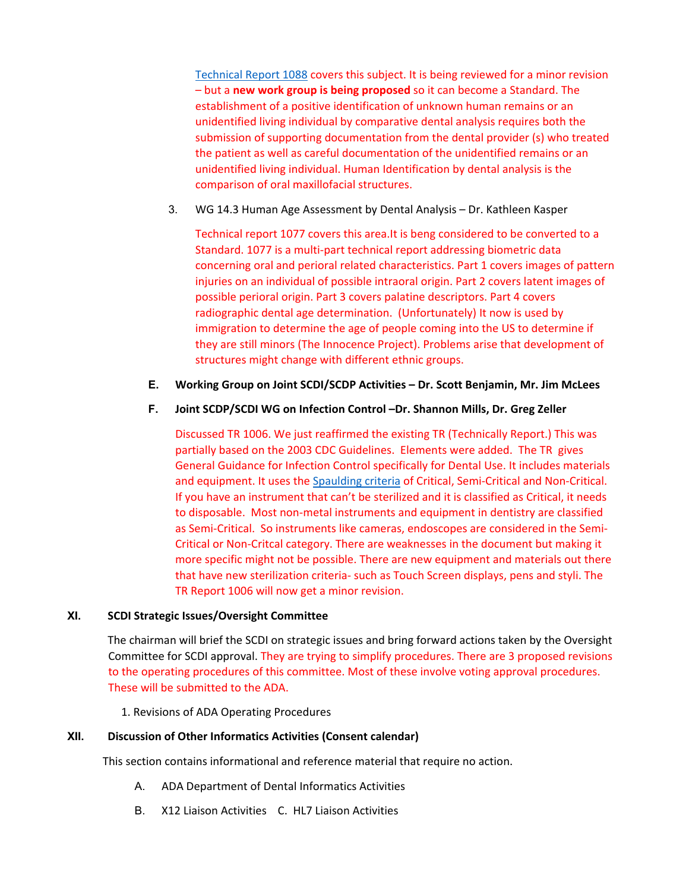[Technical Report 1088](https://d.docs.live.net/c18a09f84e087e04/ADA/SCDI%202019%20SF/ADA%20Technical%20Report%20No%201088_final%20pub_May%202017.pdf) covers this subject. It is being reviewed for a minor revision – but a **new work group is being proposed** so it can become a Standard. The establishment of a positive identification of unknown human remains or an unidentified living individual by comparative dental analysis requires both the submission of supporting documentation from the dental provider (s) who treated the patient as well as careful documentation of the unidentified remains or an unidentified living individual. Human Identification by dental analysis is the comparison of oral maxillofacial structures.

3. WG 14.3 Human Age Assessment by Dental Analysis – Dr. Kathleen Kasper

Technical report 1077 covers this area.It is beng considered to be converted to a Standard. 1077 is a multi-part technical report addressing biometric data concerning oral and perioral related characteristics. Part 1 covers images of pattern injuries on an individual of possible intraoral origin. Part 2 covers latent images of possible perioral origin. Part 3 covers palatine descriptors. Part 4 covers radiographic dental age determination. (Unfortunately) It now is used by immigration to determine the age of people coming into the US to determine if they are still minors (The Innocence Project). Problems arise that development of structures might change with different ethnic groups.

## **E. Working Group on Joint SCDI/SCDP Activities – Dr. Scott Benjamin, Mr. Jim McLees**

## **F. Joint SCDP/SCDI WG on Infection Control –Dr. Shannon Mills, Dr. Greg Zeller**

Discussed TR 1006. We just reaffirmed the existing TR (Technically Report.) This was partially based on the 2003 CDC Guidelines. Elements were added. The TR gives General Guidance for Infection Control specifically for Dental Use. It includes materials and equipment. It uses the [Spaulding criteria](https://d.docs.live.net/c18a09f84e087e04/ADA/SCDI%202019%20SF/Spaulding%20Guidelines.docx) of Critical, Semi-Critical and Non-Critical. If you have an instrument that can't be sterilized and it is classified as Critical, it needs to disposable. Most non-metal instruments and equipment in dentistry are classified as Semi-Critical. So instruments like cameras, endoscopes are considered in the Semi-Critical or Non-Critcal category. There are weaknesses in the document but making it more specific might not be possible. There are new equipment and materials out there that have new sterilization criteria- such as Touch Screen displays, pens and styli. The TR Report 1006 will now get a minor revision.

### **XI. SCDI Strategic Issues/Oversight Committee**

The chairman will brief the SCDI on strategic issues and bring forward actions taken by the Oversight Committee for SCDI approval. They are trying to simplify procedures. There are 3 proposed revisions to the operating procedures of this committee. Most of these involve voting approval procedures. These will be submitted to the ADA.

1. Revisions of ADA Operating Procedures

### **XII. Discussion of Other Informatics Activities (Consent calendar)**

This section contains informational and reference material that require no action.

- A. ADA Department of Dental Informatics Activities
- B. X12 Liaison Activities C. HL7 Liaison Activities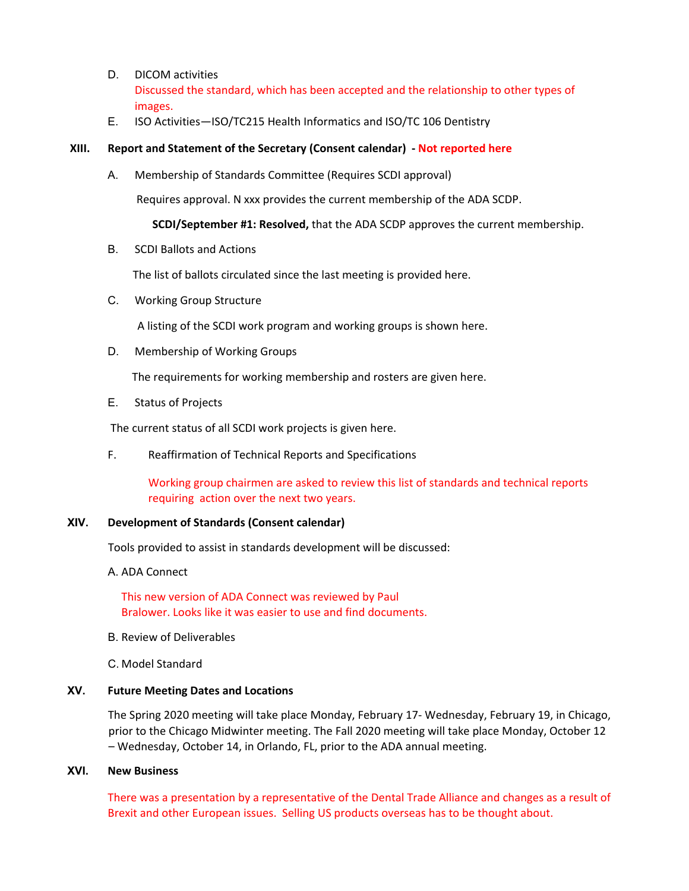- D. DICOM activities Discussed the standard, which has been accepted and the relationship to other types of images.
- E. ISO Activities—ISO/TC215 Health Informatics and ISO/TC 106 Dentistry

### **XIII. Report and Statement of the Secretary (Consent calendar) - Not reported here**

A. Membership of Standards Committee (Requires SCDI approval)

Requires approval. N xxx provides the current membership of the ADA SCDP.

**SCDI/September #1: Resolved,** that the ADA SCDP approves the current membership.

B. SCDI Ballots and Actions

The list of ballots circulated since the last meeting is provided here.

C. Working Group Structure

A listing of the SCDI work program and working groups is shown here.

D. Membership of Working Groups

The requirements for working membership and rosters are given here.

E. Status of Projects

The current status of all SCDI work projects is given here.

F. Reaffirmation of Technical Reports and Specifications

Working group chairmen are asked to review this list of standards and technical reports requiring action over the next two years.

## **XIV. Development of Standards (Consent calendar)**

Tools provided to assist in standards development will be discussed:

A. ADA Connect

This new version of ADA Connect was reviewed by Paul Bralower. Looks like it was easier to use and find documents.

- B. Review of Deliverables
- C. Model Standard

## **XV. Future Meeting Dates and Locations**

The Spring 2020 meeting will take place Monday, February 17- Wednesday, February 19, in Chicago, prior to the Chicago Midwinter meeting. The Fall 2020 meeting will take place Monday, October 12 – Wednesday, October 14, in Orlando, FL, prior to the ADA annual meeting.

## **XVI. New Business**

There was a presentation by a representative of the Dental Trade Alliance and changes as a result of Brexit and other European issues. Selling US products overseas has to be thought about.